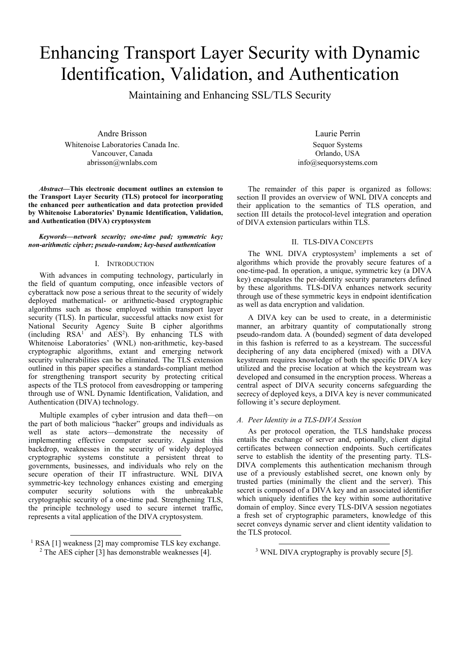# Enhancing Transport Layer Security with Dynamic Identification, Validation, and Authentication

Maintaining and Enhancing SSL/TLS Security

Andre Brisson Whitenoise Laboratories Canada Inc. Vancouver, Canada abrisson@wnlabs.com

*Abstract***—This electronic document outlines an extension to the Transport Layer Security (TLS) protocol for incorporating the enhanced peer authentication and data protection provided by Whitenoise Laboratories' Dynamic Identification, Validation, and Authentication (DIVA) cryptosystem** 

*Keywords—network security; one-time pad; symmetric key; non-arithmetic cipher; pseudo-random; key-based authentication* 

## I. INTRODUCTION

With advances in computing technology, particularly in the field of quantum computing, once infeasible vectors of cyberattack now pose a serious threat to the security of widely deployed mathematical- or arithmetic-based cryptographic algorithms such as those employed within transport layer security (TLS). In particular, successful attacks now exist for National Security Agency Suite B cipher algorithms  $(including$   $RSA<sup>1</sup>$  and  $AES<sup>2</sup>$ ). By enhancing TLS with Whitenoise Laboratories' (WNL) non-arithmetic, key-based cryptographic algorithms, extant and emerging network security vulnerabilities can be eliminated. The TLS extension outlined in this paper specifies a standards-compliant method for strengthening transport security by protecting critical aspects of the TLS protocol from eavesdropping or tampering through use of WNL Dynamic Identification, Validation, and Authentication (DIVA) technology.

Multiple examples of cyber intrusion and data theft—on the part of both malicious "hacker" groups and individuals as well as state actors—demonstrate the necessity of implementing effective computer security. Against this backdrop, weaknesses in the security of widely deployed cryptographic systems constitute a persistent threat to governments, businesses, and individuals who rely on the secure operation of their IT infrastructure. WNL DIVA symmetric-key technology enhances existing and emerging<br>computer security solutions with the unbreakable computer security solutions with the unbreakable cryptographic security of a one-time pad. Strengthening TLS, the principle technology used to secure internet traffic, represents a vital application of the DIVA cryptosystem.

Laurie Perrin Sequor Systems Orlando, USA info@sequorsystems.com

The remainder of this paper is organized as follows: section II provides an overview of WNL DIVA concepts and their application to the semantics of TLS operation, and section III details the protocol-level integration and operation of DIVA extension particulars within TLS.

# II. TLS-DIVA CONCEPTS

The WNL DIVA cryptosystem<sup>3</sup> implements a set of algorithms which provide the provably secure features of a one-time-pad. In operation, a unique, symmetric key (a DIVA key) encapsulates the per-identity security parameters defined by these algorithms. TLS-DIVA enhances network security through use of these symmetric keys in endpoint identification as well as data encryption and validation.

A DIVA key can be used to create, in a deterministic manner, an arbitrary quantity of computationally strong pseudo-random data. A (bounded) segment of data developed in this fashion is referred to as a keystream. The successful deciphering of any data enciphered (mixed) with a DIVA keystream requires knowledge of both the specific DIVA key utilized and the precise location at which the keystream was developed and consumed in the encryption process. Whereas a central aspect of DIVA security concerns safeguarding the secrecy of deployed keys, a DIVA key is never communicated following it's secure deployment.

#### *A. Peer Identity in a TLS-DIVA Session*

As per protocol operation, the TLS handshake process entails the exchange of server and, optionally, client digital certificates between connection endpoints. Such certificates serve to establish the identity of the presenting party. TLS-DIVA complements this authentication mechanism through use of a previously established secret, one known only by trusted parties (minimally the client and the server). This secret is composed of a DIVA key and an associated identifier which uniquely identifies the key within some authoritative domain of employ. Since every TLS-DIVA session negotiates a fresh set of cryptographic parameters, knowledge of this secret conveys dynamic server and client identity validation to the TLS protocol.

 $\frac{1}{1}$  RSA [1] we RSA [1] weakness [2] may compromise TLS key exchange.<br> $^{2}$  The AES cinher [3] has demonstrable weaknesses [4]  $2$  The AES cipher [3] has demonstrable weaknesses [4].

<sup>&</sup>lt;sup>3</sup> WNL DIVA cryptography is provably secure [5].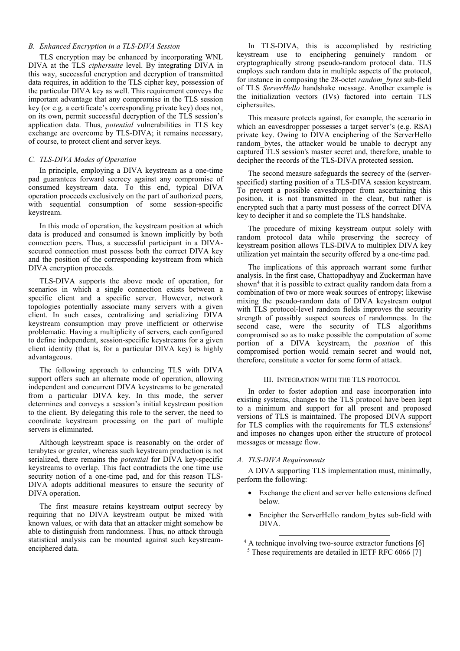# *B. Enhanced Encryption in a TLS-DIVA Session*

TLS encryption may be enhanced by incorporating WNL DIVA at the TLS *ciphersuite* level. By integrating DIVA in this way, successful encryption and decryption of transmitted data requires, in addition to the TLS cipher key, possession of the particular DIVA key as well. This requirement conveys the important advantage that any compromise in the TLS session key (or e.g. a certificate's corresponding private key) does not, on its own, permit successful decryption of the TLS session's application data. Thus, *potential* vulnerabilities in TLS key exchange are overcome by TLS-DIVA; it remains necessary, of course, to protect client and server keys.

# *C. TLS-DIVA Modes of Operation*

In principle, employing a DIVA keystream as a one-time pad guarantees forward secrecy against any compromise of consumed keystream data. To this end, typical DIVA operation proceeds exclusively on the part of authorized peers, with sequential consumption of some session-specific keystream.

In this mode of operation, the keystream position at which data is produced and consumed is known implicitly by both connection peers. Thus, a successful participant in a DIVAsecured connection must possess both the correct DIVA key and the position of the corresponding keystream from which DIVA encryption proceeds.

TLS-DIVA supports the above mode of operation, for scenarios in which a single connection exists between a specific client and a specific server. However, network topologies potentially associate many servers with a given client. In such cases, centralizing and serializing DIVA keystream consumption may prove inefficient or otherwise problematic. Having a multiplicity of servers, each configured to define independent, session-specific keystreams for a given client identity (that is, for a particular DIVA key) is highly advantageous.

The following approach to enhancing TLS with DIVA support offers such an alternate mode of operation, allowing independent and concurrent DIVA keystreams to be generated from a particular DIVA key. In this mode, the server determines and conveys a session's initial keystream position to the client. By delegating this role to the server, the need to coordinate keystream processing on the part of multiple servers is eliminated.

Although keystream space is reasonably on the order of terabytes or greater, whereas such keystream production is not serialized, there remains the *potential* for DIVA key-specific keystreams to overlap. This fact contradicts the one time use security notion of a one-time pad, and for this reason TLS-DIVA adopts additional measures to ensure the security of DIVA operation.

The first measure retains keystream output secrecy by requiring that no DIVA keystream output be mixed with known values, or with data that an attacker might somehow be able to distinguish from randomness. Thus, no attack through statistical analysis can be mounted against such keystreamenciphered data.

In TLS-DIVA, this is accomplished by restricting keystream use to enciphering genuinely random or cryptographically strong pseudo-random protocol data. TLS employs such random data in multiple aspects of the protocol, for instance in composing the 28-octet *random\_bytes* sub-field of TLS *ServerHello* handshake message. Another example is the initialization vectors (IVs) factored into certain TLS ciphersuites.

This measure protects against, for example, the scenario in which an eavesdropper possesses a target server's (e.g. RSA) private key. Owing to DIVA enciphering of the ServerHello random bytes, the attacker would be unable to decrypt any captured TLS session's master secret and, therefore, unable to decipher the records of the TLS-DIVA protected session.

The second measure safeguards the secrecy of the (serverspecified) starting position of a TLS-DIVA session keystream. To prevent a possible eavesdropper from ascertaining this position, it is not transmitted in the clear, but rather is encrypted such that a party must possess of the correct DIVA key to decipher it and so complete the TLS handshake.

The procedure of mixing keystream output solely with random protocol data while preserving the secrecy of keystream position allows TLS-DIVA to multiplex DIVA key utilization yet maintain the security offered by a one-time pad.

The implications of this approach warrant some further analysis. In the first case, Chattopadhyay and Zuckerman have shown<sup>4</sup> that it is possible to extract quality random data from a combination of two or more weak sources of entropy; likewise mixing the pseudo-random data of DIVA keystream output with TLS protocol-level random fields improves the security strength of possibly suspect sources of randomness. In the second case, were the security of TLS algorithms compromised so as to make possible the computation of some portion of a DIVA keystream, the *position* of this compromised portion would remain secret and would not, therefore, constitute a vector for some form of attack.

#### III. INTEGRATION WITH THE TLS PROTOCOL

In order to foster adoption and ease incorporation into existing systems, changes to the TLS protocol have been kept to a minimum and support for all present and proposed versions of TLS is maintained. The proposed DIVA support for TLS complies with the requirements for TLS extensions<sup>5</sup> and imposes no changes upon either the structure of protocol messages or message flow.

# *A. TLS-DIVA Requirements*

A DIVA supporting TLS implementation must, minimally, perform the following:

- Exchange the client and server hello extensions defined below.
- Encipher the ServerHello random bytes sub-field with DIVA.
- 4 A technique involving two-source extractor functions [6] <sup>5</sup> These requirements are detailed in IETF RFC 6066 [7]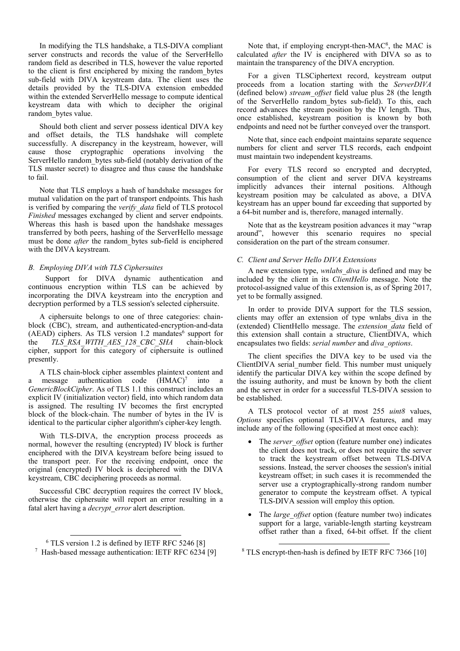In modifying the TLS handshake, a TLS-DIVA compliant server constructs and records the value of the ServerHello random field as described in TLS, however the value reported to the client is first enciphered by mixing the random\_bytes sub-field with DIVA keystream data. The client uses the details provided by the TLS-DIVA extension embedded within the extended ServerHello message to compute identical keystream data with which to decipher the original random bytes value.

Should both client and server possess identical DIVA key and offset details, the TLS handshake will complete successfully. A discrepancy in the keystream, however, will cause those cryptographic operations involving the ServerHello random\_bytes sub-field (notably derivation of the TLS master secret) to disagree and thus cause the handshake to fail.

Note that TLS employs a hash of handshake messages for mutual validation on the part of transport endpoints. This hash is verified by comparing the *verify\_data* field of TLS protocol *Finished* messages exchanged by client and server endpoints. Whereas this hash is based upon the handshake messages transferred by both peers, hashing of the ServerHello message must be done *after* the random bytes sub-field is enciphered with the DIVA keystream.

# *B. Employing DIVA with TLS Ciphersuites*

 Support for DIVA dynamic authentication and continuous encryption within TLS can be achieved by incorporating the DIVA keystream into the encryption and decryption performed by a TLS session's selected ciphersuite.

A ciphersuite belongs to one of three categories: chainblock (CBC), stream, and authenticated-encryption-and-data  $(AEAD)$  ciphers. As TLS version 1.2 mandates<sup>6</sup> support for the *TLS\_RSA\_WITH\_AES\_128\_CBC\_SHA* chain-block cipher, support for this category of ciphersuite is outlined presently.

A TLS chain-block cipher assembles plaintext content and a message authentication code  $(HMAC)^7$  into a *GenericBlockCipher*. As of TLS 1.1 this construct includes an explicit IV (initialization vector) field, into which random data is assigned. The resulting IV becomes the first encrypted block of the block-chain. The number of bytes in the IV is identical to the particular cipher algorithm's cipher-key length.

With TLS-DIVA, the encryption process proceeds as normal, however the resulting (encrypted) IV block is further enciphered with the DIVA keystream before being issued to the transport peer. For the receiving endpoint, once the original (encrypted) IV block is deciphered with the DIVA keystream, CBC deciphering proceeds as normal.

Successful CBC decryption requires the correct IV block, otherwise the ciphersuite will report an error resulting in a fatal alert having a *decrypt\_error* alert description.

Note that, if employing encrypt-then-MAC<sup>8</sup>, the MAC is calculated *after* the IV is enciphered with DIVA so as to maintain the transparency of the DIVA encryption.

For a given TLSCiphertext record, keystream output proceeds from a location starting with the *ServerDIVA* (defined below) *stream\_offset* field value plus 28 (the length of the ServerHello random\_bytes sub-field). To this, each record advances the stream position by the IV length. Thus, once established, keystream position is known by both endpoints and need not be further conveyed over the transport.

Note that, since each endpoint maintains separate sequence numbers for client and server TLS records, each endpoint must maintain two independent keystreams.

For every TLS record so encrypted and decrypted, consumption of the client and server DIVA keystreams implicitly advances their internal positions. Although keystream position may be calculated as above, a DIVA keystream has an upper bound far exceeding that supported by a 64-bit number and is, therefore, managed internally.

Note that as the keystream position advances it may "wrap around", however this scenario requires no special consideration on the part of the stream consumer.

# *C. Client and Server Hello DIVA Extensions*

A new extension type, *wnlabs\_diva* is defined and may be included by the client in its *ClientHello* message. Note the protocol-assigned value of this extension is, as of Spring 2017, yet to be formally assigned.

In order to provide DIVA support for the TLS session, clients may offer an extension of type wnlabs\_diva in the (extended) ClientHello message. The *extension\_data* field of this extension shall contain a structure, ClientDIVA, which encapsulates two fields: *serial number* and *diva\_options*.

The client specifies the DIVA key to be used via the ClientDIVA serial\_number field. This number must uniquely identify the particular DIVA key within the scope defined by the issuing authority, and must be known by both the client and the server in order for a successful TLS-DIVA session to be established.

A TLS protocol vector of at most 255 *uint8* values, *Options* specifies optional TLS-DIVA features, and may include any of the following (specified at most once each):

- The *server* offset option (feature number one) indicates the client does not track, or does not require the server to track the keystream offset between TLS-DIVA sessions. Instead, the server chooses the session's initial keystream offset; in such cases it is recommended the server use a cryptographically-strong random number generator to compute the keystream offset. A typical TLS-DIVA session will employ this option.
- The *large offset* option (feature number two) indicates support for a large, variable-length starting keystream offset rather than a fixed, 64-bit offset. If the client

 $6$  TI S  $_{ve}$ <sup>6</sup> TLS version 1.2 is defined by IETF RFC 5246 [8]  $\frac{7}{7}$  Hash based message authentication: IETE REC 6234 <sup>7</sup> Hash-based message authentication: IETF RFC 6234 [9]

 <sup>8</sup> TLS encrypt-then-hash is defined by IETF RFC 7366 [10]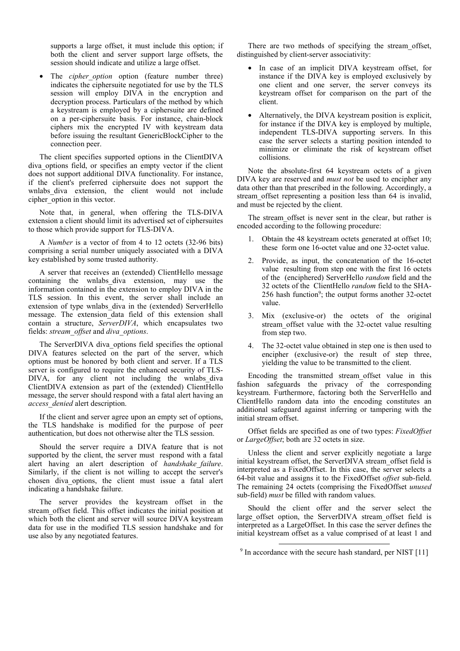supports a large offset, it must include this option; if both the client and server support large offsets, the session should indicate and utilize a large offset.

The *cipher* option option (feature number three) indicates the ciphersuite negotiated for use by the TLS session will employ DIVA in the encryption and decryption process. Particulars of the method by which a keystream is employed by a ciphersuite are defined on a per-ciphersuite basis. For instance, chain-block ciphers mix the encrypted IV with keystream data before issuing the resultant GenericBlockCipher to the connection peer.

The client specifies supported options in the ClientDIVA diva options field, or specifies an empty vector if the client does not support additional DIVA functionality. For instance, if the client's preferred ciphersuite does not support the wnlabs\_diva extension, the client would not include cipher\_option in this vector.

Note that, in general, when offering the TLS-DIVA extension a client should limit its advertised set of ciphersuites to those which provide support for TLS-DIVA.

A *Number* is a vector of from 4 to 12 octets (32-96 bits) comprising a serial number uniquely associated with a DIVA key established by some trusted authority.

A server that receives an (extended) ClientHello message containing the wnlabs\_diva extension, may use the information contained in the extension to employ DIVA in the TLS session. In this event, the server shall include an extension of type wnlabs\_diva in the (extended) ServerHello message. The extension data field of this extension shall contain a structure, *ServerDIVA*, which encapsulates two fields: *stream\_offset* and *diva\_options*.

The ServerDIVA diva\_options field specifies the optional DIVA features selected on the part of the server, which options must be honored by both client and server. If a TLS server is configured to require the enhanced security of TLS-DIVA, for any client not including the wnlabs diva ClientDIVA extension as part of the (extended) ClientHello message, the server should respond with a fatal alert having an *access\_denied* alert description.

If the client and server agree upon an empty set of options, the TLS handshake is modified for the purpose of peer authentication, but does not otherwise alter the TLS session.

Should the server require a DIVA feature that is not supported by the client, the server must respond with a fatal alert having an alert description of *handshake\_failure*. Similarly, if the client is not willing to accept the server's chosen diva options, the client must issue a fatal alert indicating a handshake failure.

The server provides the keystream offset in the stream\_offset field. This offset indicates the initial position at which both the client and server will source DIVA keystream data for use in the modified TLS session handshake and for use also by any negotiated features.

There are two methods of specifying the stream\_offset, distinguished by client-server associativity:

- In case of an implicit DIVA keystream offset, for instance if the DIVA key is employed exclusively by one client and one server, the server conveys its keystream offset for comparison on the part of the client.
- Alternatively, the DIVA keystream position is explicit, for instance if the DIVA key is employed by multiple, independent TLS-DIVA supporting servers. In this case the server selects a starting position intended to minimize or eliminate the risk of keystream offset collisions.

Note the absolute-first 64 keystream octets of a given DIVA key are reserved and *must not* be used to encipher any data other than that prescribed in the following. Accordingly, a stream\_offset representing a position less than 64 is invalid, and must be rejected by the client.

The stream offset is never sent in the clear, but rather is encoded according to the following procedure:

- 1. Obtain the 48 keystream octets generated at offset 10; these form one 16-octet value and one 32-octet value.
- 2. Provide, as input, the concatenation of the 16-octet value resulting from step one with the first 16 octets of the (enciphered) ServerHello *random* field and the 32 octets of the ClientHello *random* field to the SHA-256 hash function<sup>9</sup>; the output forms another  $32$ -octet value.
- 3. Mix (exclusive-or) the octets of the original stream\_offset value with the 32-octet value resulting from step two.
- 4. The 32-octet value obtained in step one is then used to encipher (exclusive-or) the result of step three, yielding the value to be transmitted to the client.

Encoding the transmitted stream\_offset value in this fashion safeguards the privacy  $\overline{of}$  the corresponding keystream. Furthermore, factoring both the ServerHello and ClientHello random data into the encoding constitutes an additional safeguard against inferring or tampering with the initial stream offset.

Offset fields are specified as one of two types: *FixedOffset* or *LargeOffset*; both are 32 octets in size.

Unless the client and server explicitly negotiate a large initial keystream offset, the ServerDIVA stream\_offset field is interpreted as a FixedOffset. In this case, the server selects a 64-bit value and assigns it to the FixedOffset *offset* sub-field. The remaining 24 octets (comprising the FixedOffset *unused* sub-field) *must* be filled with random values.

Should the client offer and the server select the large offset option, the ServerDIVA stream offset field is interpreted as a LargeOffset. In this case the server defines the initial keystream offset as a value comprised of at least 1 and

<sup>&</sup>lt;sup>9</sup> In accordance with the secure hash standard, per NIST [11]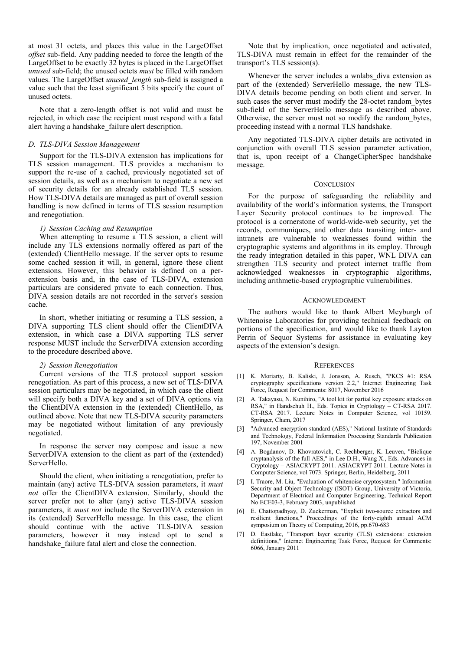at most 31 octets, and places this value in the LargeOffset *offset* sub-field. Any padding needed to force the length of the LargeOffset to be exactly 32 bytes is placed in the LargeOffset *unused* sub-field; the unused octets *must* be filled with random values. The LargeOffset *unused\_length* sub-field is assigned a value such that the least significant 5 bits specify the count of unused octets.

Note that a zero-length offset is not valid and must be rejected, in which case the recipient must respond with a fatal alert having a handshake\_failure alert description.

#### *D. TLS-DIVA Session Management*

Support for the TLS-DIVA extension has implications for TLS session management. TLS provides a mechanism to support the re-use of a cached, previously negotiated set of session details, as well as a mechanism to negotiate a new set of security details for an already established TLS session. How TLS-DIVA details are managed as part of overall session handling is now defined in terms of TLS session resumption and renegotiation.

# *1) Session Caching and Resumption*

When attempting to resume a TLS session, a client will include any TLS extensions normally offered as part of the (extended) ClientHello message. If the server opts to resume some cached session it will, in general, ignore these client extensions. However, this behavior is defined on a perextension basis and, in the case of TLS-DIVA, extension particulars are considered private to each connection. Thus, DIVA session details are not recorded in the server's session cache.

In short, whether initiating or resuming a TLS session, a DIVA supporting TLS client should offer the ClientDIVA extension, in which case a DIVA supporting TLS server response MUST include the ServerDIVA extension according to the procedure described above.

#### *2) Session Renegotiation*

Current versions of the TLS protocol support session renegotiation. As part of this process, a new set of TLS-DIVA session particulars may be negotiated, in which case the client will specify both a DIVA key and a set of DIVA options via the ClientDIVA extension in the (extended) ClientHello, as outlined above. Note that new TLS-DIVA security parameters may be negotiated without limitation of any previously negotiated.

In response the server may compose and issue a new ServerDIVA extension to the client as part of the (extended) ServerHello.

Should the client, when initiating a renegotiation, prefer to maintain (any) active TLS-DIVA session parameters, it *must not* offer the ClientDIVA extension. Similarly, should the server prefer not to alter (any) active TLS-DIVA session parameters, it *must not* include the ServerDIVA extension in its (extended) ServerHello message. In this case, the client should continue with the active TLS-DIVA session parameters, however it may instead opt to send a handshake failure fatal alert and close the connection.

Note that by implication, once negotiated and activated, TLS-DIVA must remain in effect for the remainder of the transport's TLS session(s).

Whenever the server includes a wnlabs diva extension as part of the (extended) ServerHello message, the new TLS-DIVA details become pending on both client and server. In such cases the server must modify the 28-octet random bytes sub-field of the ServerHello message as described above. Otherwise, the server must not so modify the random\_bytes, proceeding instead with a normal TLS handshake.

Any negotiated TLS-DIVA cipher details are activated in conjunction with overall TLS session parameter activation, that is, upon receipt of a ChangeCipherSpec handshake message.

#### **CONCLUSION**

For the purpose of safeguarding the reliability and availability of the world's information systems, the Transport Layer Security protocol continues to be improved. The protocol is a cornerstone of world-wide-web security, yet the records, communiques, and other data transiting inter- and intranets are vulnerable to weaknesses found within the cryptographic systems and algorithms in its employ. Through the ready integration detailed in this paper, WNL DIVA can strengthen TLS security and protect internet traffic from acknowledged weaknesses in cryptographic algorithms, including arithmetic-based cryptographic vulnerabilities.

#### ACKNOWLEDGMENT

The authors would like to thank Albert Meyburgh of Whitenoise Laboratories for providing technical feedback on portions of the specification, and would like to thank Layton Perrin of Sequor Systems for assistance in evaluating key aspects of the extension's design.

#### **REFERENCES**

- [1] K. Moriarty, B. Kaliski, J. Jonsson, A. Rusch, "PKCS #1: RSA cryptography specifications version 2.2," Internet Engineering Task Force, Request for Comments: 8017, November 2016
- [2] A. Takayasu, N. Kunihiro, "A tool kit for partial key exposure attacks on RSA," in Handschuh H., Eds. Topics in Cryptology – CT-RSA 2017. CT-RSA 2017. Lecture Notes in Computer Science, vol 10159. Springer, Cham, 2017
- [3] "Advanced encryption standard (AES)," National Institute of Standards and Technology, Federal Information Processing Standards Publication 197, November 2001
- [4] A. Bogdanov, D. Khovratovich, C. Rechberger, K. Leuven, "Biclique cryptanalysis of the full AES," in Lee D.H., Wang X., Eds. Advances in Cryptology – ASIACRYPT 2011. ASIACRYPT 2011. Lecture Notes in Computer Science, vol 7073. Springer, Berlin, Heidelberg, 2011
- [5] I. Traore, M. Liu, "Evaluation of whitenoise cryptosystem." Information Security and Object Technology (ISOT) Group, University of Victoria, Department of Electrical and Computer Engineering, Technical Report No ECE03-3, February 2003, unpublished
- [6] E. Chattopadhyay, D. Zuckerman, "Explicit two-source extractors and resilient functions," Proceedings of the forty-eighth annual ACM symposium on Theory of Computing, 2016, pp.670-683
- [7] D. Eastlake, "Transport layer security (TLS) extensions: extension definitions," Internet Engineering Task Force, Request for Comments: 6066, January 2011